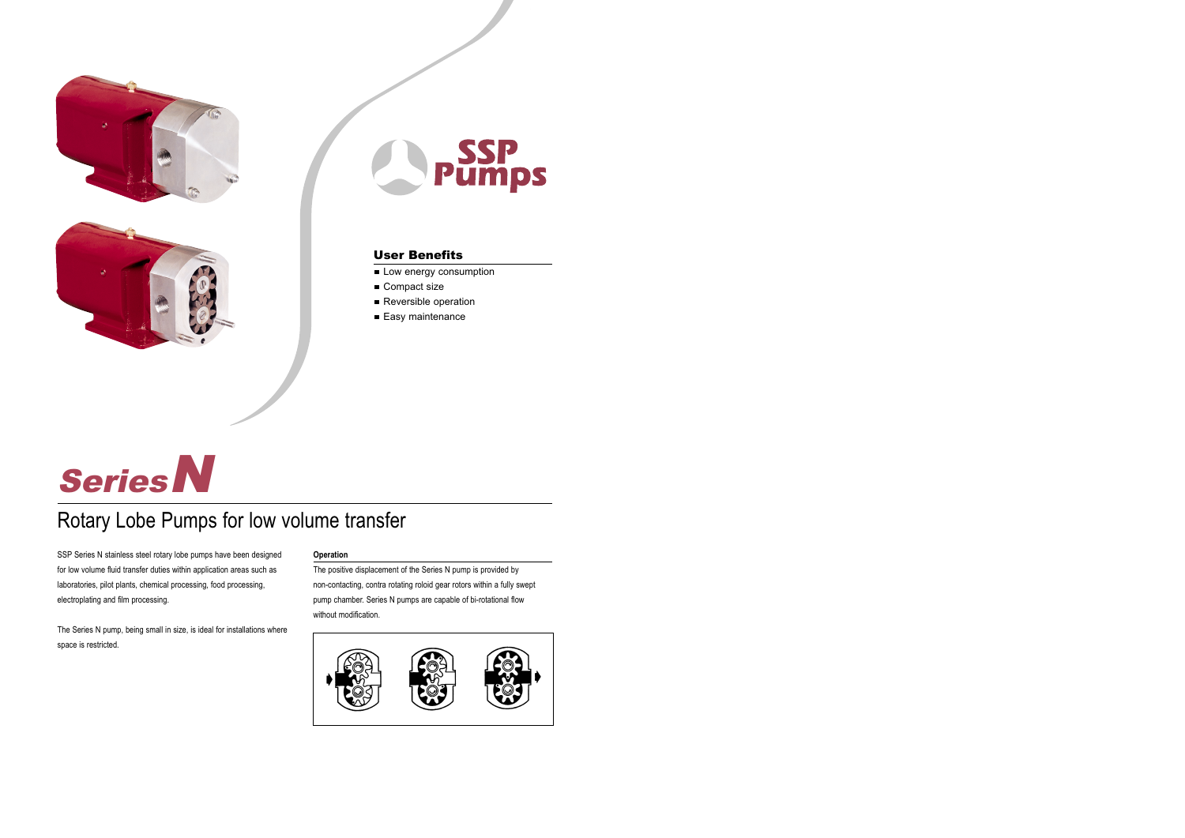





- Low energy consumption
- Compact size
- Reversible operation
- Easy maintenance



# Rotary Lobe Pumps for low volume transfer

SSP Series N stainless steel rotary lobe pumps have been designed for low volume fluid transfer duties within application areas such as laboratories, pilot plants, chemical processing, food processing, electroplating and film processing.

The Series N pump, being small in size, is ideal for installations where space is restricted.

### **Operation**

The positive displacement of the Series N pump is provided by non-contacting, contra rotating roloid gear rotors within a fully swept pump chamber. Series N pumps are capable of bi-rotational flow without modification.

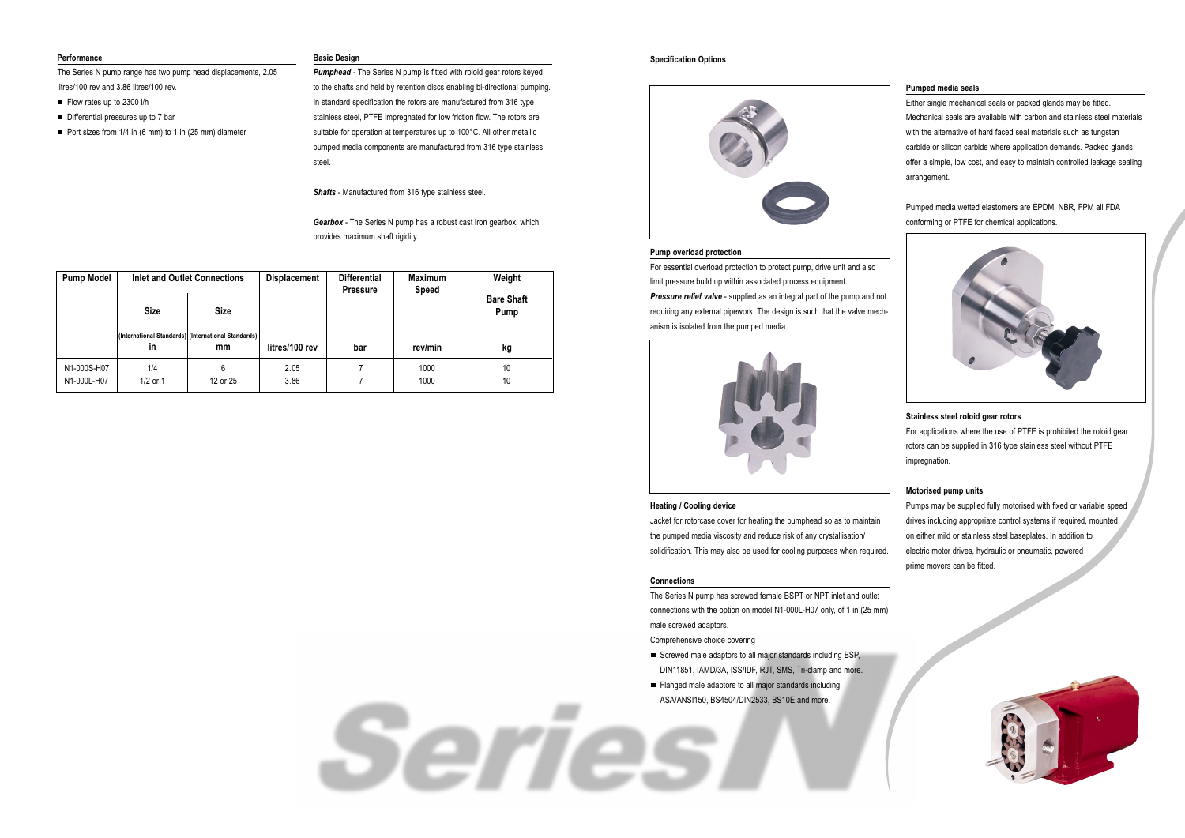#### **Performance**

The Series N pump range has two pump head displacements, 2.05 litres/100 rev and 3.86 litres/100 rev.

- Flow rates up to 2300 l/h
- Differential pressures up to 7 bar
- Port sizes from  $1/4$  in (6 mm) to 1 in (25 mm) diameter

## **Basic Design**

**Pumphead** - The Series N pump is fitted with roloid gear rotors keyed to the shafts and held by retention discs enabling bi-directional pumping. In standard specification the rotors are manufactured from 316 type stainless steel, PTFE impregnated for low friction flow. The rotors are suitable for operation at temperatures up to 100°C. All other metallic pumped media components are manufactured from 316 type stainless steel.

*Shafts* - Manufactured from 316 type stainless steel.

*Gearbox* - The Series N pump has a robust cast iron gearbox, which provides maximum shaft rigidity.

## **Specification Options**



#### **Pump overload protection**

- Screwed male adaptors to all major standards including BSP, DIN11851, IAMD/3A, ISS/IDF, RJT, SMS, Tri-clamp and more.
- Flanged male adaptors to all major standards including ASA/ANSI150, BS4504/DIN2533, BS10E and more.

For essential overload protection to protect pump, drive unit and also limit pressure build up within associated process equipment. *Pressure relief valve* - supplied as an integral part of the pump and not requiring any external pipework. The design is such that the valve mechanism is isolated from the pumped media.



#### **Heating / Cooling device**

Jacket for rotorcase cover for heating the pumphead so as to maintain the pumped media viscosity and reduce risk of any crystallisation/ solidification. This may also be used for cooling purposes when required.

#### **Connections**

Serres

The Series N pump has screwed female BSPT or NPT inlet and outlet connections with the option on model N1-000L-H07 only, of 1 in (25 mm) male screwed adaptors.

Comprehensive choice covering

## **Pumped media seals**

Either single mechanical seals or packed glands may be fitted. Mechanical seals are available with carbon and stainless steel materials with the alternative of hard faced seal materials such as tungsten carbide or silicon carbide where application demands. Packed glands offer a simple, low cost, and easy to maintain controlled leakage sealing arrangement.

Pumped media wetted elastomers are EPDM, NBR, FPM all FDA conforming or PTFE for chemical applications.



# **Stainless steel roloid gear rotors**

For applications where the use of PTFE is prohibited the roloid gear rotors can be supplied in 316 type stainless steel without PTFE impregnation.

## **Motorised pump units**

Pumps may be supplied fully motorised with fixed or variable speed drives including appropriate control systems if required, mounted on either mild or stainless steel baseplates. In addition to electric motor drives, hydraulic or pneumatic, powered prime movers can be fitted.



| <b>Pump Model</b>          | <b>Size</b>       | Inlet and Outlet Connections<br><b>Size</b>               | <b>Displacement</b> | <b>Differential</b><br><b>Pressure</b> | <b>Maximum</b><br><b>Speed</b> | Weight<br><b>Bare Shaft</b><br><b>Pump</b> |  |  |
|----------------------------|-------------------|-----------------------------------------------------------|---------------------|----------------------------------------|--------------------------------|--------------------------------------------|--|--|
|                            | <b>in</b>         | (International Standards) (International Standards)<br>mm | litres/100 rev      | bar                                    | rev/min                        | kg                                         |  |  |
| N1-000S-H07<br>N1-000L-H07 | 1/4<br>$1/2$ or 1 | 6<br>12 or 25                                             | 2.05<br>3.86        |                                        | 1000<br>1000                   | 10<br>10                                   |  |  |